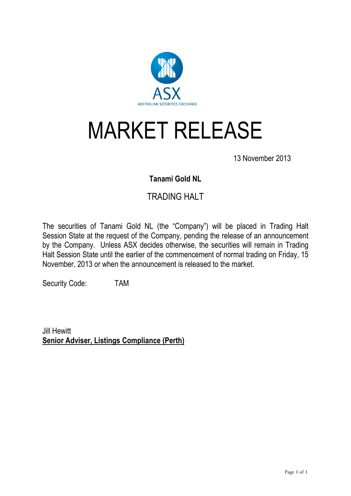

## MARKET RELEASE

13 November 2013

## **Tanami Gold NL**

## TRADING HALT

The securities of Tanami Gold NL (the "Company") will be placed in Trading Halt Session State at the request of the Company, pending the release of an announcement by the Company. Unless ASX decides otherwise, the securities will remain in Trading Halt Session State until the earlier of the commencement of normal trading on Friday, 15 November, 2013 or when the announcement is released to the market.

Security Code: TAM

Jill Hewitt **Senior Adviser, Listings Compliance (Perth)**